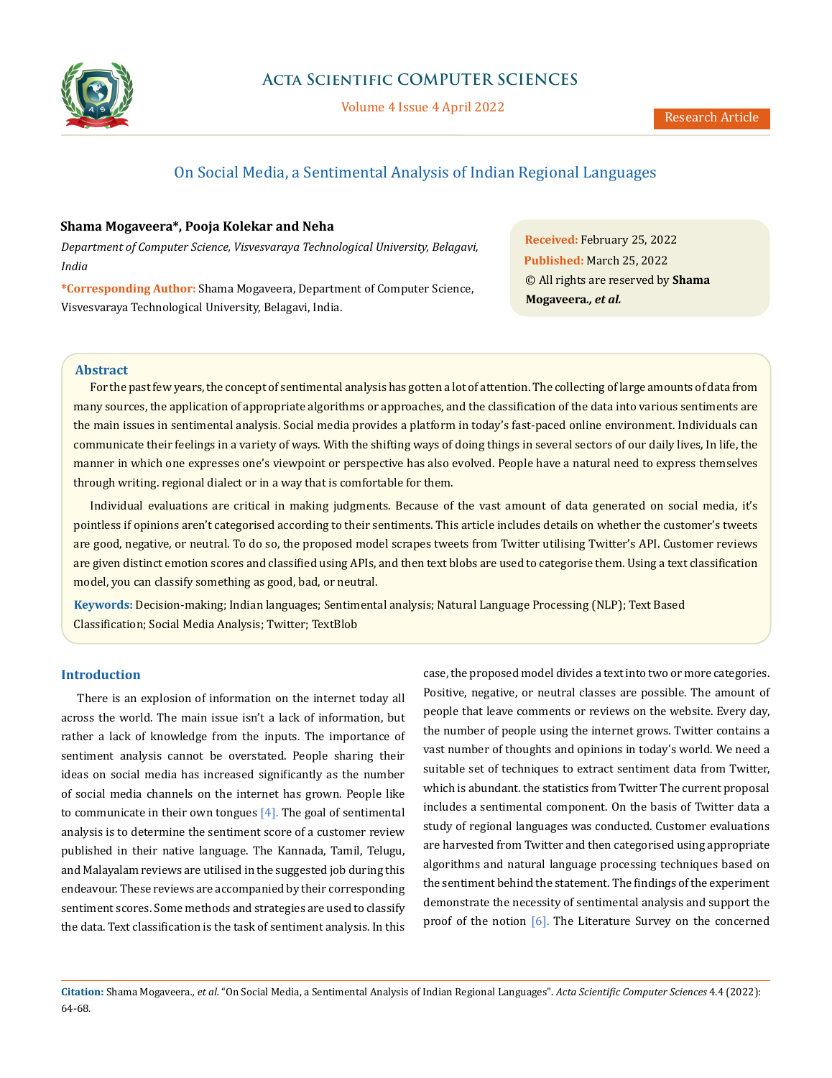

Volume 4 Issue 4 April 2022

# On Social Media, a Sentimental Analysis of Indian Regional Languages

# **Shama Mogaveera\*, Pooja Kolekar and Neha**

*Department of Computer Science, Visvesvaraya Technological University, Belagavi, India*

**\*Corresponding Author:** Shama Mogaveera, Department of Computer Science, Visvesvaraya Technological University, Belagavi, India.

**Received:** February 25, 2022 **Published:** March 25, 2022 © All rights are reserved by **Shama Mogaveera***., et al.*

## **Abstract**

For the past few years, the concept of sentimental analysis has gotten a lot of attention. The collecting of large amounts of data from many sources, the application of appropriate algorithms or approaches, and the classification of the data into various sentiments are the main issues in sentimental analysis. Social media provides a platform in today's fast-paced online environment. Individuals can communicate their feelings in a variety of ways. With the shifting ways of doing things in several sectors of our daily lives, In life, the manner in which one expresses one's viewpoint or perspective has also evolved. People have a natural need to express themselves through writing. regional dialect or in a way that is comfortable for them.

Individual evaluations are critical in making judgments. Because of the vast amount of data generated on social media, it's pointless if opinions aren't categorised according to their sentiments. This article includes details on whether the customer's tweets are good, negative, or neutral. To do so, the proposed model scrapes tweets from Twitter utilising Twitter's API. Customer reviews are given distinct emotion scores and classified using APIs, and then text blobs are used to categorise them. Using a text classification model, you can classify something as good, bad, or neutral.

**Keywords:** Decision-making; Indian languages; Sentimental analysis; Natural Language Processing (NLP); Text Based Classification; Social Media Analysis; Twitter; TextBlob

# **Introduction**

There is an explosion of information on the internet today all across the world. The main issue isn't a lack of information, but rather a lack of knowledge from the inputs. The importance of sentiment analysis cannot be overstated. People sharing their ideas on social media has increased significantly as the number of social media channels on the internet has grown. People like to communicate in their own tongues  $[4]$ . The goal of sentimental analysis is to determine the sentiment score of a customer review published in their native language. The Kannada, Tamil, Telugu, and Malayalam reviews are utilised in the suggested job during this endeavour. These reviews are accompanied by their corresponding sentiment scores. Some methods and strategies are used to classify the data. Text classification is the task of sentiment analysis. In this

case, the proposed model divides a text into two or more categories. Positive, negative, or neutral classes are possible. The amount of people that leave comments or reviews on the website. Every day, the number of people using the internet grows. Twitter contains a vast number of thoughts and opinions in today's world. We need a suitable set of techniques to extract sentiment data from Twitter, which is abundant. the statistics from Twitter The current proposal includes a sentimental component. On the basis of Twitter data a study of regional languages was conducted. Customer evaluations are harvested from Twitter and then categorised using appropriate algorithms and natural language processing techniques based on the sentiment behind the statement. The findings of the experiment demonstrate the necessity of sentimental analysis and support the proof of the notion [6]. The Literature Survey on the concerned

**Citation:** Shama Mogaveera*., et al.* "On Social Media, a Sentimental Analysis of Indian Regional Languages". *Acta Scientific Computer Sciences* 4.4 (2022): 64-68.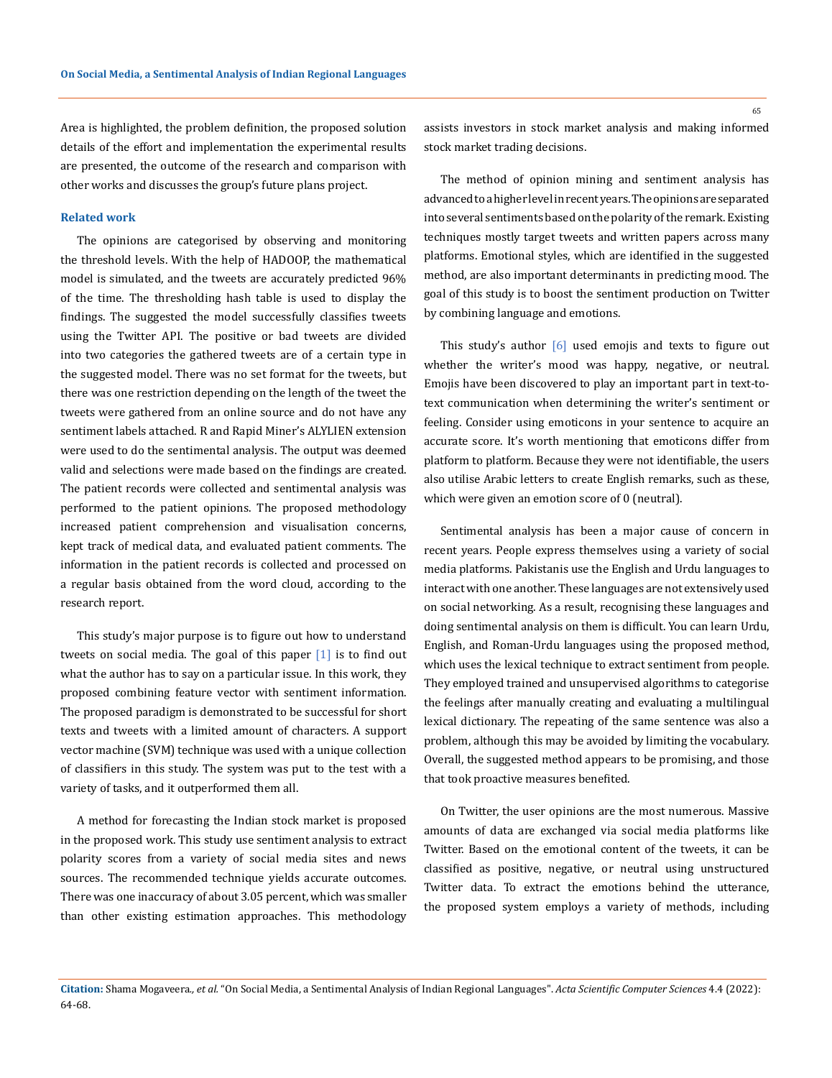Area is highlighted, the problem definition, the proposed solution details of the effort and implementation the experimental results are presented, the outcome of the research and comparison with other works and discusses the group's future plans project.

#### **Related work**

The opinions are categorised by observing and monitoring the threshold levels. With the help of HADOOP, the mathematical model is simulated, and the tweets are accurately predicted 96% of the time. The thresholding hash table is used to display the findings. The suggested the model successfully classifies tweets using the Twitter API. The positive or bad tweets are divided into two categories the gathered tweets are of a certain type in the suggested model. There was no set format for the tweets, but there was one restriction depending on the length of the tweet the tweets were gathered from an online source and do not have any sentiment labels attached. R and Rapid Miner's ALYLIEN extension were used to do the sentimental analysis. The output was deemed valid and selections were made based on the findings are created. The patient records were collected and sentimental analysis was performed to the patient opinions. The proposed methodology increased patient comprehension and visualisation concerns, kept track of medical data, and evaluated patient comments. The information in the patient records is collected and processed on a regular basis obtained from the word cloud, according to the research report.

This study's major purpose is to figure out how to understand tweets on social media. The goal of this paper  $\begin{bmatrix} 1 \end{bmatrix}$  is to find out what the author has to say on a particular issue. In this work, they proposed combining feature vector with sentiment information. The proposed paradigm is demonstrated to be successful for short texts and tweets with a limited amount of characters. A support vector machine (SVM) technique was used with a unique collection of classifiers in this study. The system was put to the test with a variety of tasks, and it outperformed them all.

A method for forecasting the Indian stock market is proposed in the proposed work. This study use sentiment analysis to extract polarity scores from a variety of social media sites and news sources. The recommended technique yields accurate outcomes. There was one inaccuracy of about 3.05 percent, which was smaller than other existing estimation approaches. This methodology

assists investors in stock market analysis and making informed stock market trading decisions.

The method of opinion mining and sentiment analysis has advanced to a higher level in recent years. The opinions are separated into several sentiments based on the polarity of the remark. Existing techniques mostly target tweets and written papers across many platforms. Emotional styles, which are identified in the suggested method, are also important determinants in predicting mood. The goal of this study is to boost the sentiment production on Twitter by combining language and emotions.

This study's author [6] used emojis and texts to figure out whether the writer's mood was happy, negative, or neutral. Emojis have been discovered to play an important part in text-totext communication when determining the writer's sentiment or feeling. Consider using emoticons in your sentence to acquire an accurate score. It's worth mentioning that emoticons differ from platform to platform. Because they were not identifiable, the users also utilise Arabic letters to create English remarks, such as these, which were given an emotion score of 0 (neutral).

Sentimental analysis has been a major cause of concern in recent years. People express themselves using a variety of social media platforms. Pakistanis use the English and Urdu languages to interact with one another. These languages are not extensively used on social networking. As a result, recognising these languages and doing sentimental analysis on them is difficult. You can learn Urdu, English, and Roman-Urdu languages using the proposed method, which uses the lexical technique to extract sentiment from people. They employed trained and unsupervised algorithms to categorise the feelings after manually creating and evaluating a multilingual lexical dictionary. The repeating of the same sentence was also a problem, although this may be avoided by limiting the vocabulary. Overall, the suggested method appears to be promising, and those that took proactive measures benefited.

On Twitter, the user opinions are the most numerous. Massive amounts of data are exchanged via social media platforms like Twitter. Based on the emotional content of the tweets, it can be classified as positive, negative, or neutral using unstructured Twitter data. To extract the emotions behind the utterance, the proposed system employs a variety of methods, including

**Citation:** Shama Mogaveera*., et al.* "On Social Media, a Sentimental Analysis of Indian Regional Languages". *Acta Scientific Computer Sciences* 4.4 (2022): 64-68.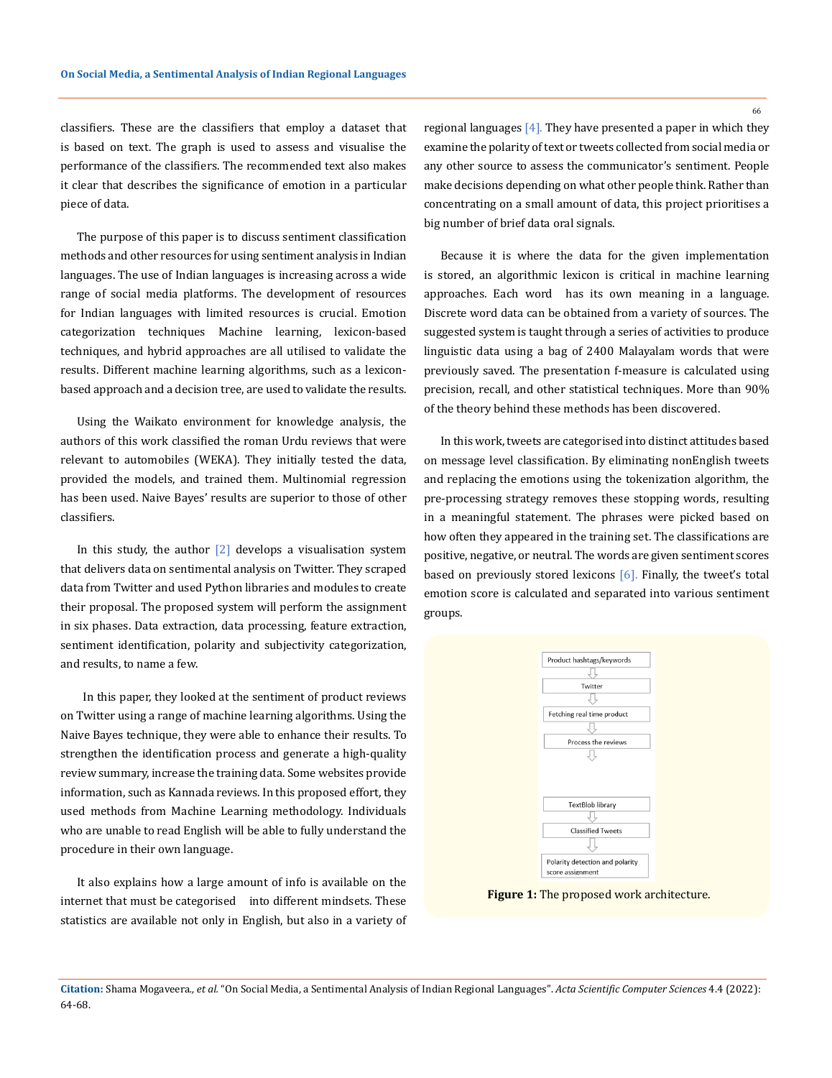classifiers. These are the classifiers that employ a dataset that is based on text. The graph is used to assess and visualise the performance of the classifiers. The recommended text also makes it clear that describes the significance of emotion in a particular piece of data.

The purpose of this paper is to discuss sentiment classification methods and other resources for using sentiment analysis in Indian languages. The use of Indian languages is increasing across a wide range of social media platforms. The development of resources for Indian languages with limited resources is crucial. Emotion categorization techniques Machine learning, lexicon-based techniques, and hybrid approaches are all utilised to validate the results. Different machine learning algorithms, such as a lexiconbased approach and a decision tree, are used to validate the results.

Using the Waikato environment for knowledge analysis, the authors of this work classified the roman Urdu reviews that were relevant to automobiles (WEKA). They initially tested the data, provided the models, and trained them. Multinomial regression has been used. Naive Bayes' results are superior to those of other classifiers.

In this study, the author  $\lceil 2 \rceil$  develops a visualisation system that delivers data on sentimental analysis on Twitter. They scraped data from Twitter and used Python libraries and modules to create their proposal. The proposed system will perform the assignment in six phases. Data extraction, data processing, feature extraction, sentiment identification, polarity and subjectivity categorization, and results, to name a few.

 In this paper, they looked at the sentiment of product reviews on Twitter using a range of machine learning algorithms. Using the Naive Bayes technique, they were able to enhance their results. To strengthen the identification process and generate a high-quality review summary, increase the training data. Some websites provide information, such as Kannada reviews. In this proposed effort, they used methods from Machine Learning methodology. Individuals who are unable to read English will be able to fully understand the procedure in their own language.

It also explains how a large amount of info is available on the internet that must be categorised into different mindsets. These statistics are available not only in English, but also in a variety of regional languages [4]. They have presented a paper in which they examine the polarity of text or tweets collected from social media or any other source to assess the communicator's sentiment. People make decisions depending on what other people think. Rather than concentrating on a small amount of data, this project prioritises a big number of brief data oral signals.

Because it is where the data for the given implementation is stored, an algorithmic lexicon is critical in machine learning approaches. Each word has its own meaning in a language. Discrete word data can be obtained from a variety of sources. The suggested system is taught through a series of activities to produce linguistic data using a bag of 2400 Malayalam words that were previously saved. The presentation f-measure is calculated using precision, recall, and other statistical techniques. More than 90% of the theory behind these methods has been discovered.

In this work, tweets are categorised into distinct attitudes based on message level classification. By eliminating nonEnglish tweets and replacing the emotions using the tokenization algorithm, the pre-processing strategy removes these stopping words, resulting in a meaningful statement. The phrases were picked based on how often they appeared in the training set. The classifications are positive, negative, or neutral. The words are given sentiment scores based on previously stored lexicons [6]. Finally, the tweet's total emotion score is calculated and separated into various sentiment groups.



**Figure 1:** The proposed work architecture.

**Citation:** Shama Mogaveera*., et al.* "On Social Media, a Sentimental Analysis of Indian Regional Languages". *Acta Scientific Computer Sciences* 4.4 (2022): 64-68.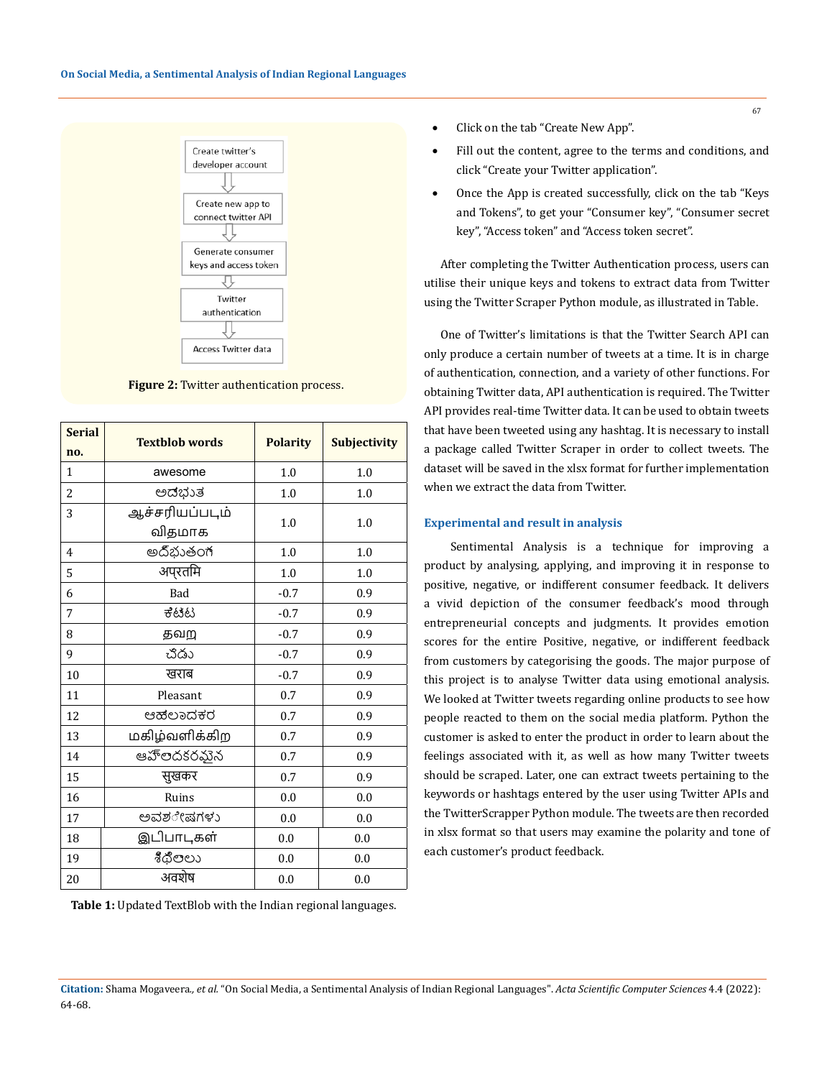

**Figure 2:** Twitter authentication process.

| <b>Serial</b><br>no. | <b>Textblob words</b> | <b>Polarity</b> | <b>Subjectivity</b> |
|----------------------|-----------------------|-----------------|---------------------|
| $\mathbf{1}$         | awesome               | 1.0             | 1.0                 |
| $\overline{2}$       | ಅಡಭುತ                 | 1.0             | 1.0                 |
| 3                    | ஆச்சரியப்படும்        | 1.0             | 1.0                 |
|                      | விதமாக                |                 |                     |
| $\overline{4}$       | అదిభుతంగ              | 1.0             | 1.0                 |
| 5                    | अप्रतमि               | 1.0             | 1.0                 |
| 6                    | Bad                   | $-0.7$          | 0.9                 |
| 7                    | ಕೆಟಟ                  | $-0.7$          | 0.9                 |
| 8                    | தவற                   | $-0.7$          | 0.9                 |
| 9                    | చిడు                  | $-0.7$          | 0.9                 |
| 10                   | खराब                  | $-0.7$          | 0.9                 |
| 11                   | Pleasant              | 0.7             | 0.9                 |
| 12                   | ಆಹಲಾದಕರ               | 0.7             | 0.9                 |
| 13                   | மகிழ்வளிக்கிற         | 0.7             | 0.9                 |
| 14                   | ఆహ్ౕలదకరమైన           | 0.7             | 0.9                 |
| 15                   | सुखकर                 | 0.7             | 0.9                 |
| 16                   | Ruins                 | 0.0             | 0.0                 |
| 17                   | ಅವಶ <b>ೇ</b> ಷಗಳು     | 0.0             | 0.0                 |
| 18                   | இடிபாடிகள்            | 0.0             | 0.0                 |
| 19                   | శీథిలలు               | 0.0             | 0.0                 |
| 20                   | अवशेष                 | 0.0             | 0.0                 |

**Table 1:** Updated TextBlob with the Indian regional languages.

- Click on the tab "Create New App".
- Fill out the content, agree to the terms and conditions, and click "Create your Twitter application".
- Once the App is created successfully, click on the tab "Keys and Tokens", to get your "Consumer key", "Consumer secret key", "Access token" and "Access token secret".

After completing the Twitter Authentication process, users can utilise their unique keys and tokens to extract data from Twitter using the Twitter Scraper Python module, as illustrated in Table.

One of Twitter's limitations is that the Twitter Search API can only produce a certain number of tweets at a time. It is in charge of authentication, connection, and a variety of other functions. For obtaining Twitter data, API authentication is required. The Twitter API provides real-time Twitter data. It can be used to obtain tweets that have been tweeted using any hashtag. It is necessary to install a package called Twitter Scraper in order to collect tweets. The dataset will be saved in the xlsx format for further implementation when we extract the data from Twitter.

#### **Experimental and result in analysis**

 Sentimental Analysis is a technique for improving a product by analysing, applying, and improving it in response to positive, negative, or indifferent consumer feedback. It delivers a vivid depiction of the consumer feedback's mood through entrepreneurial concepts and judgments. It provides emotion scores for the entire Positive, negative, or indifferent feedback from customers by categorising the goods. The major purpose of this project is to analyse Twitter data using emotional analysis. We looked at Twitter tweets regarding online products to see how people reacted to them on the social media platform. Python the customer is asked to enter the product in order to learn about the feelings associated with it, as well as how many Twitter tweets should be scraped. Later, one can extract tweets pertaining to the keywords or hashtags entered by the user using Twitter APIs and the TwitterScrapper Python module. The tweets are then recorded in xlsx format so that users may examine the polarity and tone of each customer's product feedback.

**Citation:** Shama Mogaveera*., et al.* "On Social Media, a Sentimental Analysis of Indian Regional Languages". *Acta Scientific Computer Sciences* 4.4 (2022): 64-68.